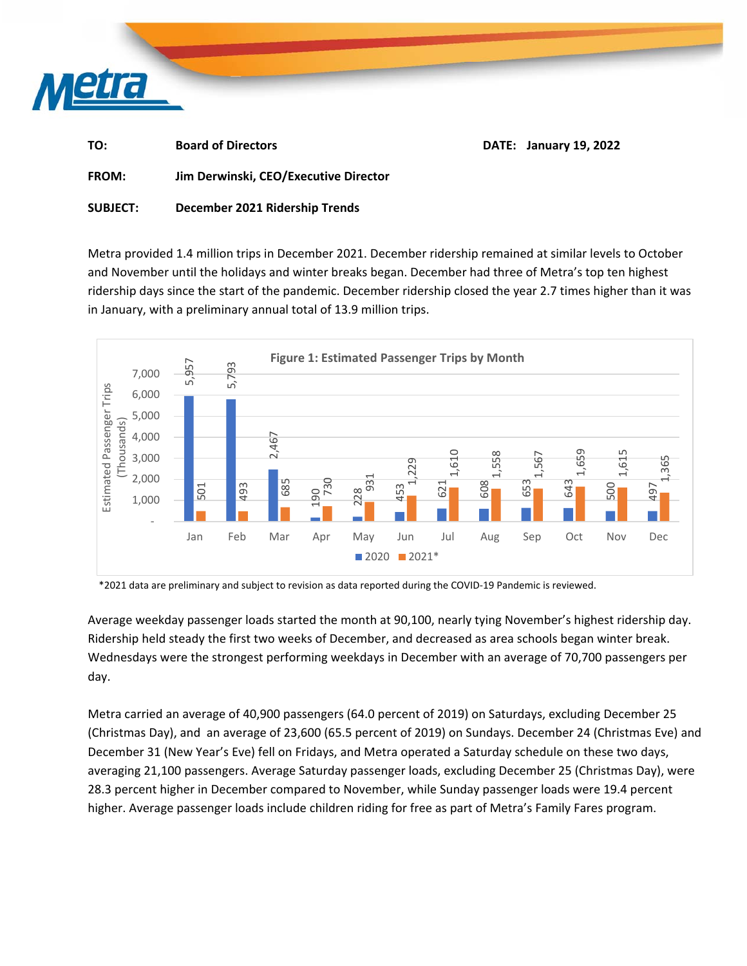

| TO: | <b>Board of Directors</b> | <b>DATE: January 19, 2022</b> |  |  |  |  |
|-----|---------------------------|-------------------------------|--|--|--|--|
|     |                           |                               |  |  |  |  |

**FROM: Jim Derwinski, CEO/Executive Director** 

## **SUBJECT: December 2021 Ridership Trends**

Metra provided 1.4 million trips in December 2021. December ridership remained at similar levels to October and November until the holidays and winter breaks began. December had three of Metra's top ten highest ridership days since the start of the pandemic. December ridership closed the year 2.7 times higher than it was in January, with a preliminary annual total of 13.9 million trips.



\*2021 data are preliminary and subject to revision as data reported during the COVID‐19 Pandemic is reviewed.

Average weekday passenger loads started the month at 90,100, nearly tying November's highest ridership day. Ridership held steady the first two weeks of December, and decreased as area schools began winter break. Wednesdays were the strongest performing weekdays in December with an average of 70,700 passengers per day.

Metra carried an average of 40,900 passengers (64.0 percent of 2019) on Saturdays, excluding December 25 (Christmas Day), and an average of 23,600 (65.5 percent of 2019) on Sundays. December 24 (Christmas Eve) and December 31 (New Year's Eve) fell on Fridays, and Metra operated a Saturday schedule on these two days, averaging 21,100 passengers. Average Saturday passenger loads, excluding December 25 (Christmas Day), were 28.3 percent higher in December compared to November, while Sunday passenger loads were 19.4 percent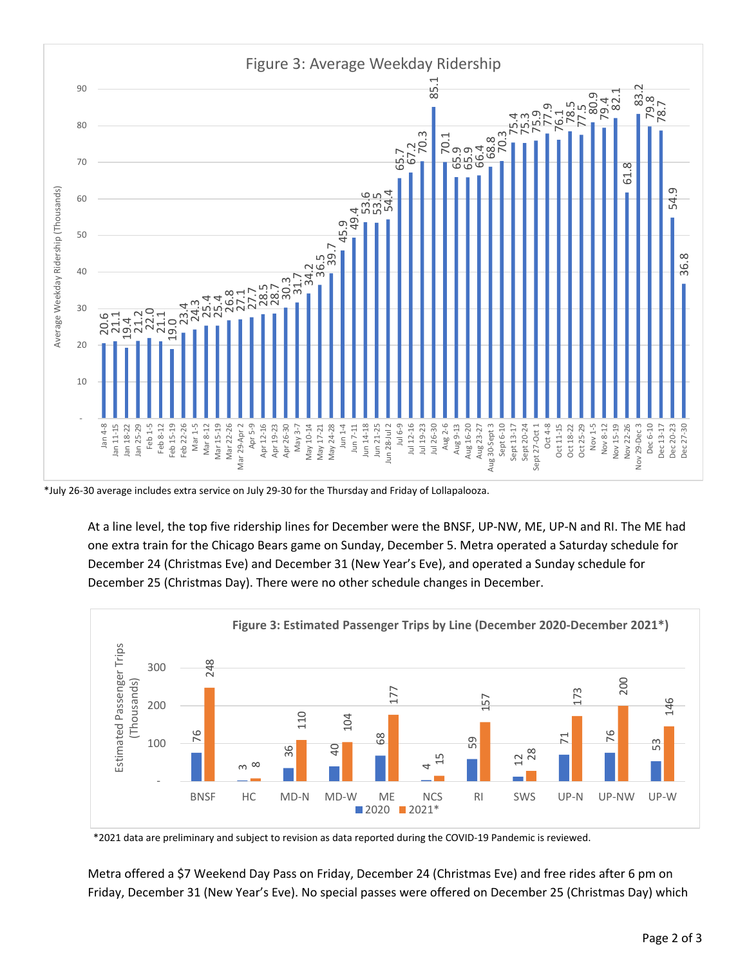

\*July 26‐30 average includes extra service on July 29‐30 for the Thursday and Friday of Lollapalooza.

At a line level, the top five ridership lines for December were the BNSF, UP‐NW, ME, UP‐N and RI. The ME had one extra train for the Chicago Bears game on Sunday, December 5. Metra operated a Saturday schedule for December 24 (Christmas Eve) and December 31 (New Year's Eve), and operated a Sunday schedule for December 25 (Christmas Day). There were no other schedule changes in December.



\*2021 data are preliminary and subject to revision as data reported during the COVID‐19 Pandemic is reviewed.

Metra offered a \$7 Weekend Day Pass on Friday, December 24 (Christmas Eve) and free rides after 6 pm on